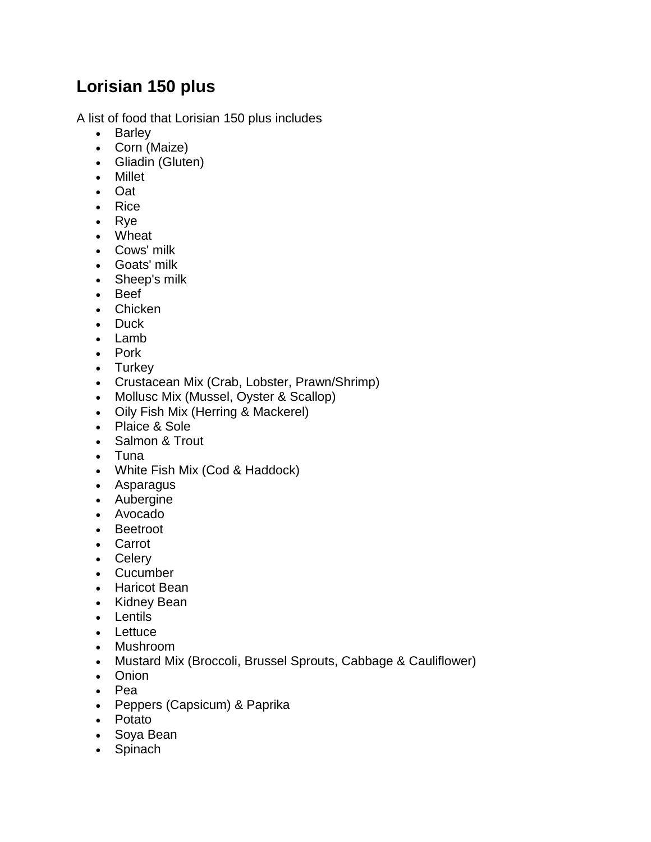## **Lorisian 150 plus**

A list of food that Lorisian 150 plus includes

- Barley
- Corn (Maize)
- Gliadin (Gluten)
- Millet
- Oat
- Rice
- Rye
- Wheat
- Cows' milk
- Goats' milk
- Sheep's milk
- Beef
- Chicken
- Duck
- Lamb
- Pork
- Turkey
- Crustacean Mix (Crab, Lobster, Prawn/Shrimp)
- Mollusc Mix (Mussel, Oyster & Scallop)
- Oily Fish Mix (Herring & Mackerel)
- Plaice & Sole
- Salmon & Trout
- Tuna
- White Fish Mix (Cod & Haddock)
- Asparagus
- Aubergine
- Avocado
- Beetroot
- Carrot
- Celery
- Cucumber
- Haricot Bean
- Kidney Bean
- Lentils
- Lettuce
- Mushroom
- Mustard Mix (Broccoli, Brussel Sprouts, Cabbage & Cauliflower)
- Onion
- Pea
- Peppers (Capsicum) & Paprika
- Potato
- Soya Bean
- Spinach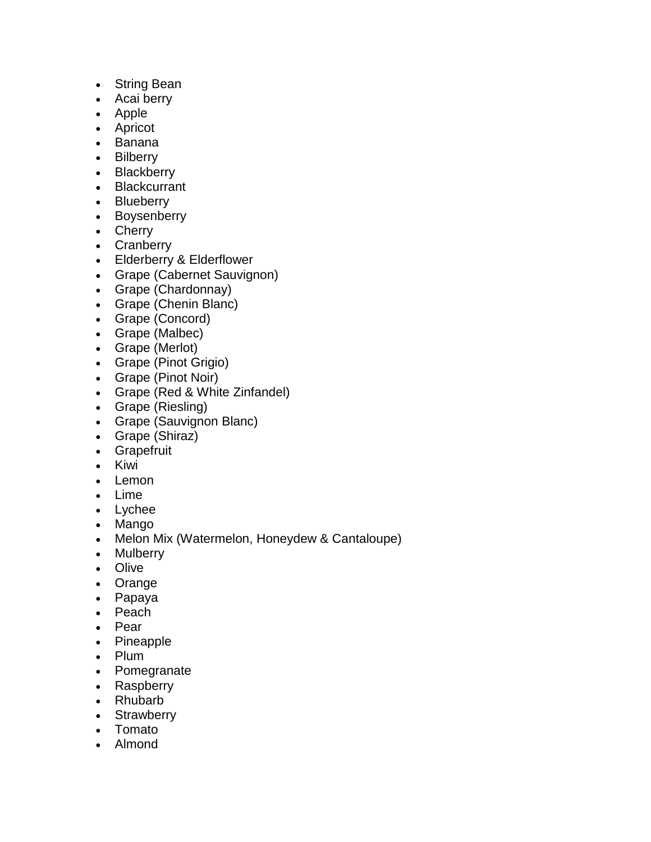- String Bean
- Acai berry
- Apple
- Apricot
- Banana
- Bilberry
- Blackberry
- Blackcurrant
- Blueberry
- Boysenberry
- Cherry
- Cranberry
- Elderberry & Elderflower
- Grape (Cabernet Sauvignon)
- Grape (Chardonnay)
- Grape (Chenin Blanc)
- Grape (Concord)
- Grape (Malbec)
- Grape (Merlot)
- Grape (Pinot Grigio)
- Grape (Pinot Noir)
- Grape (Red & White Zinfandel)
- Grape (Riesling)
- Grape (Sauvignon Blanc)
- Grape (Shiraz)
- Grapefruit
- Kiwi
- Lemon
- Lime
- Lychee
- Mango
- Melon Mix (Watermelon, Honeydew & Cantaloupe)
- Mulberry
- Olive
- Orange
- Papaya
- Peach
- Pear
- Pineapple
- Plum
- Pomegranate
- Raspberry
- Rhubarb
- Strawberry
- Tomato
- Almond